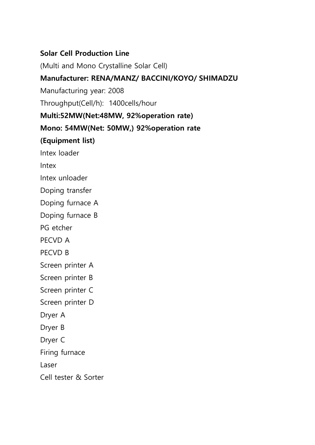#### Solar Cell Production Line

(Multi and Mono Crystalline Solar Cell)

#### Manufacturer: RENA/MANZ/ BACCINI/KOYO/ SHIMADZU

Manufacturing year: 2008

Throughput(Cell/h): 1400cells/hour

#### Multi:52MW(Net:48MW, 92%operation rate)

#### Mono: 54MW(Net: 50MW,) 92%operation rate

## (Equipment list)

Intex loader

Intex

Intex unloader

Doping transfer

Doping furnace A

Doping furnace B

PG etcher

PECVD A

PECVD B

Screen printer A

Screen printer B

Screen printer C

Screen printer D

Dryer A

Dryer B

Dryer C

Firing furnace

Laser

Cell tester & Sorter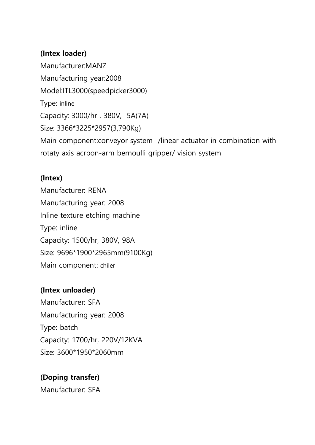## (Intex loader)

Manufacturer:MANZ Manufacturing year:2008 Model:ITL3000(speedpicker3000) Type: inline Capacity: 3000/hr , 380V, 5A(7A) Size: 3366\*3225\*2957(3,790Kg) Main component:conveyor system /linear actuator in combination with rotaty axis acrbon-arm bernoulli gripper/ vision system

#### (Intex)

Manufacturer: RENA Manufacturing year: 2008 Inline texture etching machine Type: inline Capacity: 1500/hr, 380V, 98A Size: 9696\*1900\*2965mm(9100Kg) Main component: chiler

## (Intex unloader)

Manufacturer: SFA Manufacturing year: 2008 Type: batch Capacity: 1700/hr, 220V/12KVA Size: 3600\*1950\*2060mm

# (Doping transfer)

Manufacturer: SFA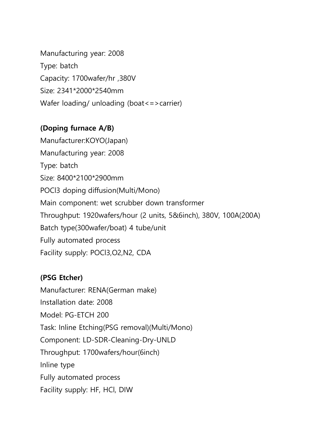Manufacturing year: 2008 Type: batch Capacity: 1700wafer/hr ,380V Size: 2341\*2000\*2540mm Wafer loading/ unloading (boat<=>carrier)

## (Doping furnace A/B)

Manufacturer:KOYO(Japan) Manufacturing year: 2008 Type: batch Size: 8400\*2100\*2900mm POCl3 doping diffusion(Multi/Mono) Main component: wet scrubber down transformer Throughput: 1920wafers/hour (2 units, 5&6inch), 380V, 100A(200A) Batch type(300wafer/boat) 4 tube/unit Fully automated process Facility supply: POCl3,O2,N2, CDA

# (PSG Etcher)

Manufacturer: RENA(German make) Installation date: 2008 Model: PG-ETCH 200 Task: Inline Etching(PSG removal)(Multi/Mono) Component: LD-SDR-Cleaning-Dry-UNLD Throughput: 1700wafers/hour(6inch) Inline type Fully automated process Facility supply: HF, HCl, DIW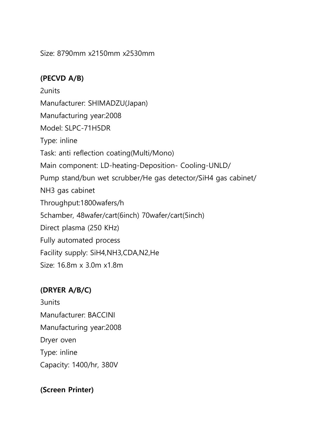Size: 8790mm x2150mm x2530mm

## (PECVD A/B)

2units Manufacturer: SHIMADZU(Japan) Manufacturing year:2008 Model: SLPC-71H5DR Type: inline Task: anti reflection coating(Multi/Mono) Main component: LD-heating-Deposition- Cooling-UNLD/ Pump stand/bun wet scrubber/He gas detector/SiH4 gas cabinet/ NH3 gas cabinet Throughput:1800wafers/h 5chamber, 48wafer/cart(6inch) 70wafer/cart(5inch) Direct plasma (250 KHz) Fully automated process Facility supply: SiH4,NH3,CDA,N2,He Size: 16.8m x 3.0m x1.8m

# (DRYER A/B/C)

3units Manufacturer: BACCINI Manufacturing year:2008 Dryer oven Type: inline Capacity: 1400/hr, 380V

## (Screen Printer)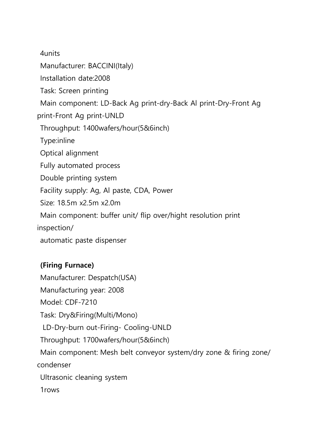4units

Manufacturer: BACCINI(Italy)

Installation date:2008

Task: Screen printing

Main component: LD-Back Ag print-dry-Back Al print-Dry-Front Ag

print-Front Ag print-UNLD

Throughput: 1400wafers/hour(5&6inch)

Type:inline

Optical alignment

Fully automated process

Double printing system

Facility supply: Ag, Al paste, CDA, Power

Size: 18.5m x2.5m x2.0m

Main component: buffer unit/ flip over/hight resolution print

inspection/

automatic paste dispenser

## (Firing Furnace)

Manufacturer: Despatch(USA) Manufacturing year: 2008 Model: CDF-7210 Task: Dry&Firing(Multi/Mono) LD-Dry-burn out-Firing- Cooling-UNLD Throughput: 1700wafers/hour(5&6inch) Main component: Mesh belt conveyor system/dry zone & firing zone/ condenser Ultrasonic cleaning system 1rows